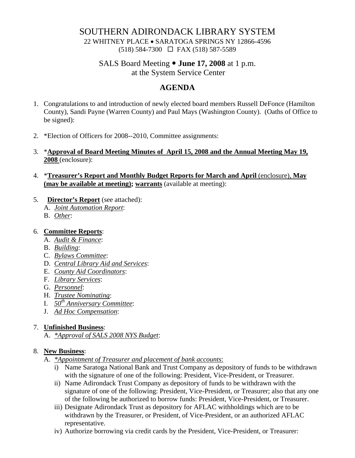# SOUTHERN ADIRONDACK LIBRARY SYSTEM

22 WHITNEY PLACE • SARATOGA SPRINGS NY 12866-4596 (518) 584-7300 FAX (518) 587-5589

# SALS Board Meeting  $\bullet$  **June 17, 2008** at 1 p.m.

at the System Service Center

# **AGENDA**

- 1. Congratulations to and introduction of newly elected board members Russell DeFonce (Hamilton County), Sandi Payne (Warren County) and Paul Mays (Washington County). (Oaths of Office to be signed):
- 2. \*Election of Officers for 2008--2010, Committee assignments:
- 3. \***Approval of Board Meeting Minutes of April 15, 2008 and the Annual Meeting May 19, 2008** (enclosure):
- 4. \***Treasurer's Report and Monthly Budget Reports for March and April** (enclosure), **May (may be available at meeting); warrants** (available at meeting):
- 5. **Director's Report** (see attached):
	- A. *Joint Automation Report*:
	- B. *Other*:

#### 6. **Committee Reports**:

- A. *Audit & Finance*:
- B. *Building*:
- C. *Bylaws Committee*:
- D. *Central Library Aid and Services*:
- E. *County Aid Coordinators*:
- F. *Library Services*:
- G. *Personnel*:
- H. *Trustee Nominating*:
- I. *50th Anniversary Committee*:
- J. *Ad Hoc Compensation*:

#### 7. **Unfinished Business**:

A. *\*Approval of SALS 2008 NYS Budget*:

#### 8. **New Business**:

- A. *\*Appointment of Treasurer and placement of bank accounts*:
	- i) Name Saratoga National Bank and Trust Company as depository of funds to be withdrawn with the signature of one of the following: President, Vice-President, or Treasurer.
	- ii) Name Adirondack Trust Company as depository of funds to be withdrawn with the signature of one of the following: President, Vice-President, or Treasurer; also that any one of the following be authorized to borrow funds: President, Vice-President, or Treasurer.
	- iii) Designate Adirondack Trust as depository for AFLAC withholdings which are to be withdrawn by the Treasurer, or President, of Vice-President, or an authorized AFLAC representative.
	- iv) Authorize borrowing via credit cards by the President, Vice-President, or Treasurer: